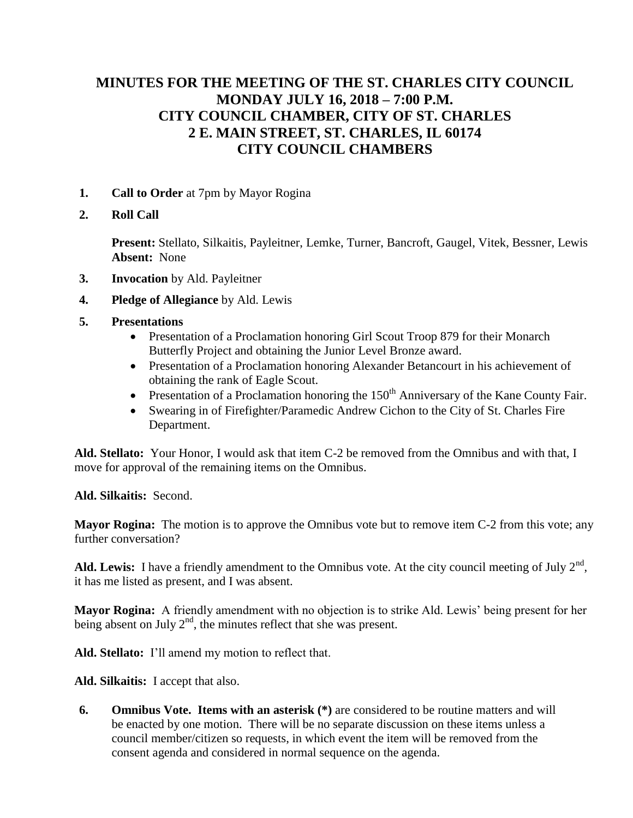# **MINUTES FOR THE MEETING OF THE ST. CHARLES CITY COUNCIL MONDAY JULY 16, 2018 – 7:00 P.M. CITY COUNCIL CHAMBER, CITY OF ST. CHARLES 2 E. MAIN STREET, ST. CHARLES, IL 60174 CITY COUNCIL CHAMBERS**

- **1. Call to Order** at 7pm by Mayor Rogina
- **2. Roll Call**

**Present:** Stellato, Silkaitis, Payleitner, Lemke, Turner, Bancroft, Gaugel, Vitek, Bessner, Lewis **Absent:** None

- **3. Invocation** by Ald. Payleitner
- **4. Pledge of Allegiance** by Ald. Lewis
- **5. Presentations**
	- Presentation of a Proclamation honoring Girl Scout Troop 879 for their Monarch Butterfly Project and obtaining the Junior Level Bronze award.
	- Presentation of a Proclamation honoring Alexander Betancourt in his achievement of obtaining the rank of Eagle Scout.
	- **•** Presentation of a Proclamation honoring the  $150<sup>th</sup>$  Anniversary of the Kane County Fair.
	- Swearing in of Firefighter/Paramedic Andrew Cichon to the City of St. Charles Fire Department.

**Ald. Stellato:** Your Honor, I would ask that item C-2 be removed from the Omnibus and with that, I move for approval of the remaining items on the Omnibus.

**Ald. Silkaitis:** Second.

**Mayor Rogina:** The motion is to approve the Omnibus vote but to remove item C-2 from this vote; any further conversation?

Ald. Lewis: I have a friendly amendment to the Omnibus vote. At the city council meeting of July  $2<sup>nd</sup>$ , it has me listed as present, and I was absent.

**Mayor Rogina:** A friendly amendment with no objection is to strike Ald. Lewis' being present for her being absent on July  $2<sup>nd</sup>$ , the minutes reflect that she was present.

**Ald. Stellato:** I'll amend my motion to reflect that.

**Ald. Silkaitis:** I accept that also.

**6. Omnibus Vote. Items with an asterisk (\*)** are considered to be routine matters and will be enacted by one motion. There will be no separate discussion on these items unless a council member/citizen so requests, in which event the item will be removed from the consent agenda and considered in normal sequence on the agenda.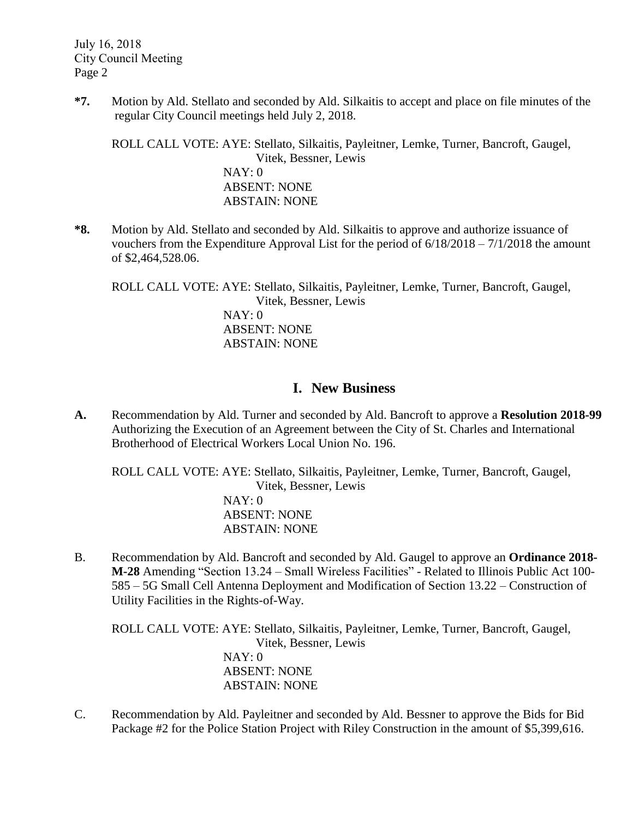**\*7.** Motion by Ald. Stellato and seconded by Ald. Silkaitis to accept and place on file minutes of the regular City Council meetings held July 2, 2018.

ROLL CALL VOTE: AYE: Stellato, Silkaitis, Payleitner, Lemke, Turner, Bancroft, Gaugel, Vitek, Bessner, Lewis NAY: 0 ABSENT: NONE ABSTAIN: NONE

**\*8.** Motion by Ald. Stellato and seconded by Ald. Silkaitis to approve and authorize issuance of vouchers from the Expenditure Approval List for the period of  $6/18/2018 - 7/1/2018$  the amount of \$2,464,528.06.

ROLL CALL VOTE: AYE: Stellato, Silkaitis, Payleitner, Lemke, Turner, Bancroft, Gaugel, Vitek, Bessner, Lewis NAY: 0 ABSENT: NONE ABSTAIN: NONE

## **I. New Business**

**A.** Recommendation by Ald. Turner and seconded by Ald. Bancroft to approve a **Resolution 2018-99** Authorizing the Execution of an Agreement between the City of St. Charles and International Brotherhood of Electrical Workers Local Union No. 196.

ROLL CALL VOTE: AYE: Stellato, Silkaitis, Payleitner, Lemke, Turner, Bancroft, Gaugel, Vitek, Bessner, Lewis NAY: 0 ABSENT: NONE ABSTAIN: NONE

B. Recommendation by Ald. Bancroft and seconded by Ald. Gaugel to approve an **Ordinance 2018- M-28** Amending "Section 13.24 – Small Wireless Facilities" - Related to Illinois Public Act 100- 585 – 5G Small Cell Antenna Deployment and Modification of Section 13.22 – Construction of Utility Facilities in the Rights-of-Way.

ROLL CALL VOTE: AYE: Stellato, Silkaitis, Payleitner, Lemke, Turner, Bancroft, Gaugel, Vitek, Bessner, Lewis NAY: 0 ABSENT: NONE ABSTAIN: NONE

C. Recommendation by Ald. Payleitner and seconded by Ald. Bessner to approve the Bids for Bid Package #2 for the Police Station Project with Riley Construction in the amount of \$5,399,616.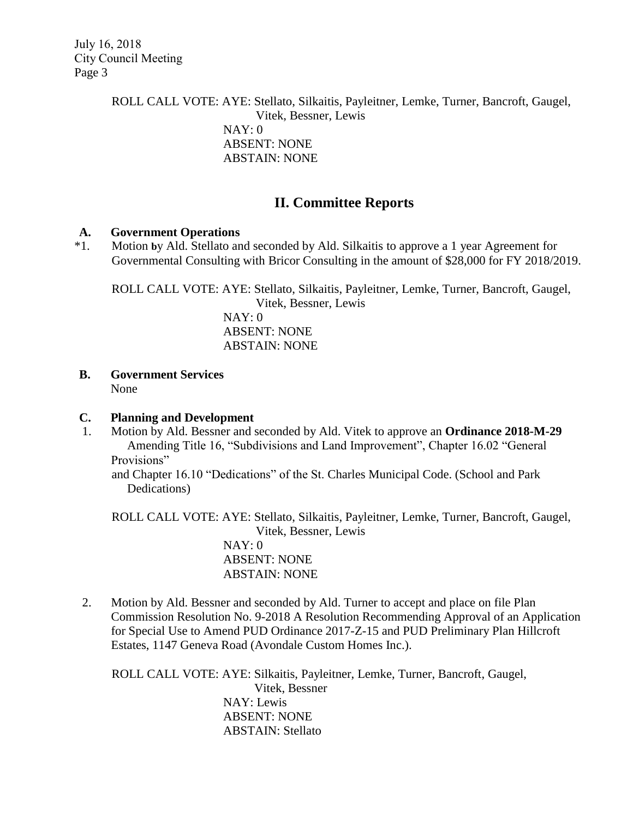> ROLL CALL VOTE: AYE: Stellato, Silkaitis, Payleitner, Lemke, Turner, Bancroft, Gaugel, Vitek, Bessner, Lewis NAY: 0 ABSENT: NONE ABSTAIN: NONE

## **II. Committee Reports**

### **A. Government Operations**

\*1. Motion **b**y Ald. Stellato and seconded by Ald. Silkaitis to approve a 1 year Agreement for Governmental Consulting with Bricor Consulting in the amount of \$28,000 for FY 2018/2019.

ROLL CALL VOTE: AYE: Stellato, Silkaitis, Payleitner, Lemke, Turner, Bancroft, Gaugel,

Vitek, Bessner, Lewis NAY: 0 ABSENT: NONE ABSTAIN: NONE

**B. Government Services**

None

### **C. Planning and Development**

1. Motion by Ald. Bessner and seconded by Ald. Vitek to approve an **Ordinance 2018-M-29** Amending Title 16, "Subdivisions and Land Improvement", Chapter 16.02 "General Provisions"

and Chapter 16.10 "Dedications" of the St. Charles Municipal Code. (School and Park Dedications)

ROLL CALL VOTE: AYE: Stellato, Silkaitis, Payleitner, Lemke, Turner, Bancroft, Gaugel, Vitek, Bessner, Lewis

> NAY: 0 ABSENT: NONE ABSTAIN: NONE

2. Motion by Ald. Bessner and seconded by Ald. Turner to accept and place on file Plan Commission Resolution No. 9-2018 A Resolution Recommending Approval of an Application for Special Use to Amend PUD Ordinance 2017-Z-15 and PUD Preliminary Plan Hillcroft Estates, 1147 Geneva Road (Avondale Custom Homes Inc.).

ROLL CALL VOTE: AYE: Silkaitis, Payleitner, Lemke, Turner, Bancroft, Gaugel, Vitek, Bessner NAY: Lewis ABSENT: NONE ABSTAIN: Stellato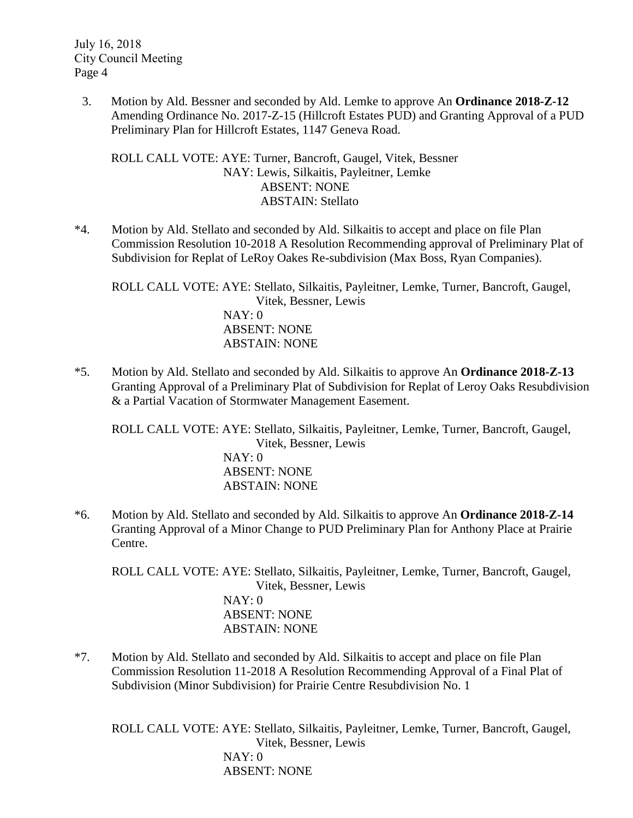3. Motion by Ald. Bessner and seconded by Ald. Lemke to approve An **Ordinance 2018-Z-12** Amending Ordinance No. 2017-Z-15 (Hillcroft Estates PUD) and Granting Approval of a PUD Preliminary Plan for Hillcroft Estates, 1147 Geneva Road.

ROLL CALL VOTE: AYE: Turner, Bancroft, Gaugel, Vitek, Bessner NAY: Lewis, Silkaitis, Payleitner, Lemke ABSENT: NONE ABSTAIN: Stellato

\*4. Motion by Ald. Stellato and seconded by Ald. Silkaitis to accept and place on file Plan Commission Resolution 10-2018 A Resolution Recommending approval of Preliminary Plat of Subdivision for Replat of LeRoy Oakes Re-subdivision (Max Boss, Ryan Companies).

ROLL CALL VOTE: AYE: Stellato, Silkaitis, Payleitner, Lemke, Turner, Bancroft, Gaugel, Vitek, Bessner, Lewis NAY: 0 ABSENT: NONE ABSTAIN: NONE

\*5. Motion by Ald. Stellato and seconded by Ald. Silkaitis to approve An **Ordinance 2018-Z-13** Granting Approval of a Preliminary Plat of Subdivision for Replat of Leroy Oaks Resubdivision & a Partial Vacation of Stormwater Management Easement.

ROLL CALL VOTE: AYE: Stellato, Silkaitis, Payleitner, Lemke, Turner, Bancroft, Gaugel, Vitek, Bessner, Lewis NAY: 0 ABSENT: NONE ABSTAIN: NONE

\*6. Motion by Ald. Stellato and seconded by Ald. Silkaitis to approve An **Ordinance 2018-Z-14** Granting Approval of a Minor Change to PUD Preliminary Plan for Anthony Place at Prairie Centre.

ROLL CALL VOTE: AYE: Stellato, Silkaitis, Payleitner, Lemke, Turner, Bancroft, Gaugel, Vitek, Bessner, Lewis NAY: 0 ABSENT: NONE ABSTAIN: NONE

\*7. Motion by Ald. Stellato and seconded by Ald. Silkaitis to accept and place on file Plan Commission Resolution 11-2018 A Resolution Recommending Approval of a Final Plat of Subdivision (Minor Subdivision) for Prairie Centre Resubdivision No. 1

ROLL CALL VOTE: AYE: Stellato, Silkaitis, Payleitner, Lemke, Turner, Bancroft, Gaugel, Vitek, Bessner, Lewis NAY: 0 ABSENT: NONE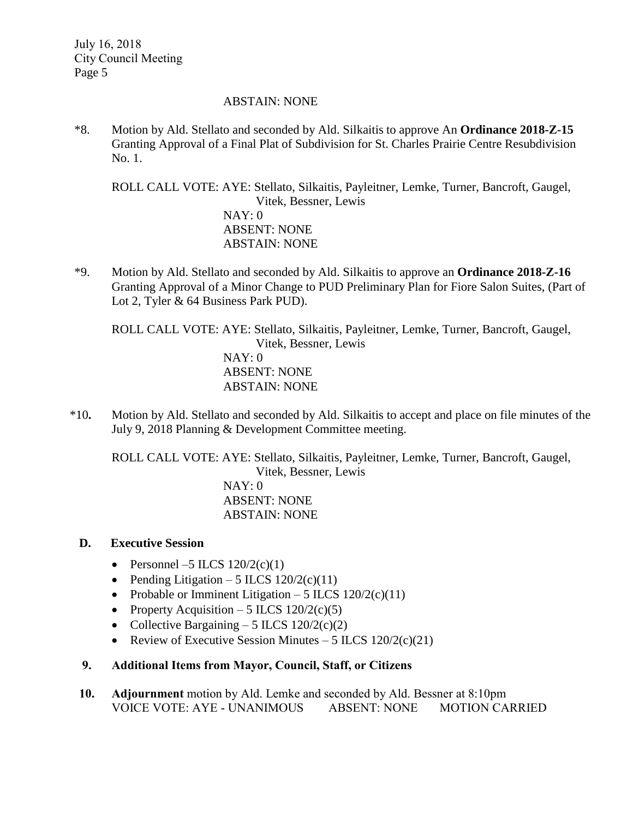#### ABSTAIN: NONE

\*8. Motion by Ald. Stellato and seconded by Ald. Silkaitis to approve An **Ordinance 2018-Z-15** Granting Approval of a Final Plat of Subdivision for St. Charles Prairie Centre Resubdivision No. 1.

ROLL CALL VOTE: AYE: Stellato, Silkaitis, Payleitner, Lemke, Turner, Bancroft, Gaugel, Vitek, Bessner, Lewis NAY: 0 ABSENT: NONE ABSTAIN: NONE

\*9. Motion by Ald. Stellato and seconded by Ald. Silkaitis to approve an **Ordinance 2018-Z-16** Granting Approval of a Minor Change to PUD Preliminary Plan for Fiore Salon Suites, (Part of Lot 2, Tyler & 64 Business Park PUD).

ROLL CALL VOTE: AYE: Stellato, Silkaitis, Payleitner, Lemke, Turner, Bancroft, Gaugel, Vitek, Bessner, Lewis NAY: 0 ABSENT: NONE ABSTAIN: NONE

\*10**.** Motion by Ald. Stellato and seconded by Ald. Silkaitis to accept and place on file minutes of the July 9, 2018 Planning & Development Committee meeting.

ROLL CALL VOTE: AYE: Stellato, Silkaitis, Payleitner, Lemke, Turner, Bancroft, Gaugel, Vitek, Bessner, Lewis NAY: 0 ABSENT: NONE ABSTAIN: NONE

### **D. Executive Session**

- Personnel –5 ILCS  $120/2(c)(1)$
- Pending Litigation 5 ILCS  $120/2(c)(11)$
- Probable or Imminent Litigation 5 ILCS  $120/2(c)(11)$
- Property Acquisition 5 ILCS  $120/2(c)(5)$
- Collective Bargaining 5 ILCS  $120/2(c)(2)$
- Review of Executive Session Minutes 5 ILCS  $120/2(c)(21)$

### **9. Additional Items from Mayor, Council, Staff, or Citizens**

**10. Adjournment** motion by Ald. Lemke and seconded by Ald. Bessner at 8:10pm VOICE VOTE: AYE - UNANIMOUS ABSENT: NONE MOTION CARRIED